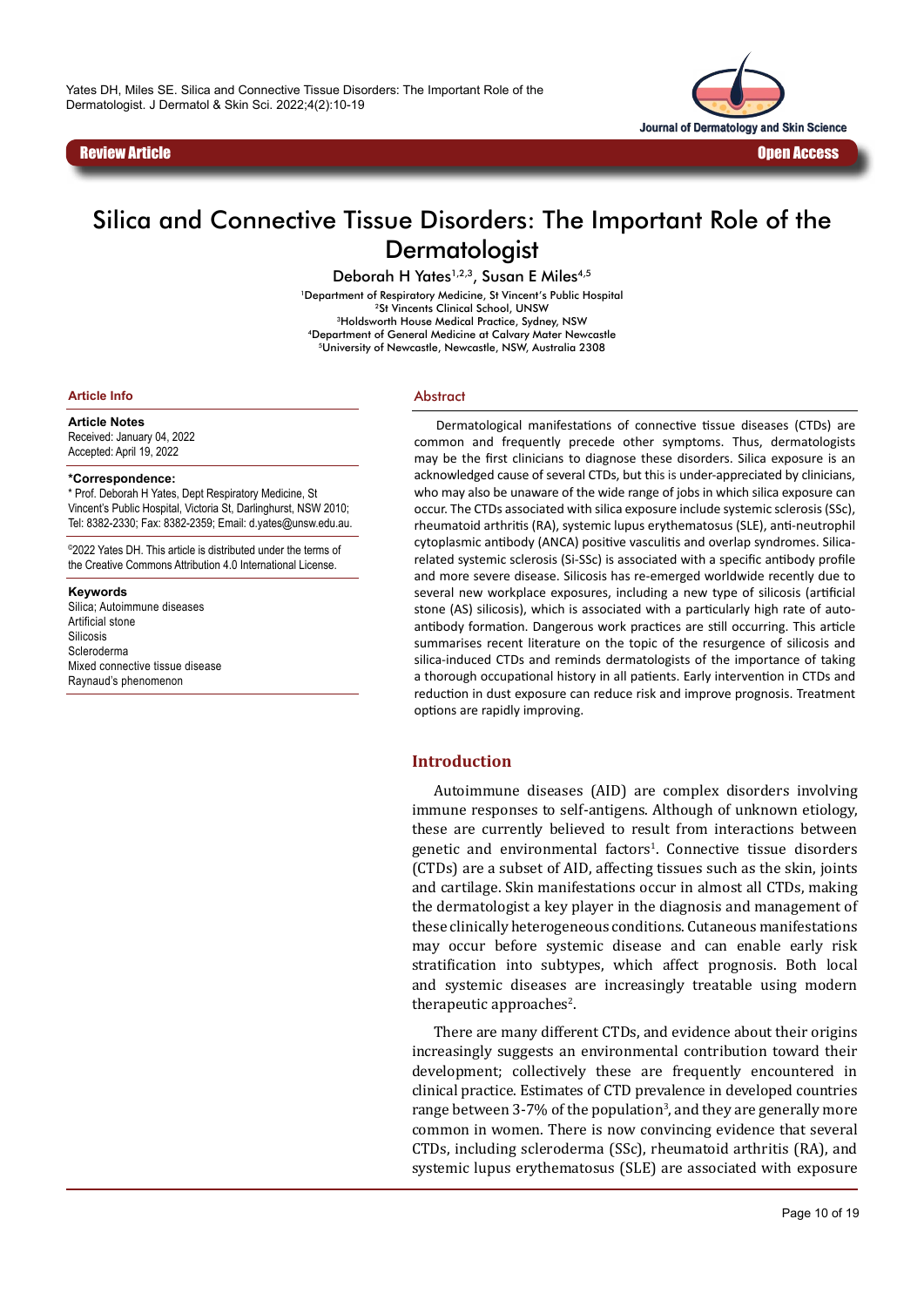

# Silica and Connective Tissue Disorders: The Important Role of the **Dermatologist**

Deborah H Yates<sup>1,2,3</sup>, Susan E Miles<sup>4,5</sup>

<sup>1</sup>Department of Respiratory Medicine, St Vincent's Public Hospital <sup>2</sup>St Vincents Clinical School, UNSW 3Holdsworth House Medical Practice, Sydney, NSW 4Department of General Medicine at Calvary Mater Newcastle 5University of Newcastle, Newcastle, NSW, Australia 2308

**Article Info**

**Article Notes**

Received: January 04, 2022 Accepted: April 19, 2022

#### **\*Correspondence:**

\* Prof. Deborah H Yates, Dept Respiratory Medicine, St Vincent's Public Hospital, Victoria St, Darlinghurst, NSW 2010; Tel: 8382-2330; Fax: 8382-2359; Email: d.yates@unsw.edu.au.

©2022 Yates DH. This article is distributed under the terms of the Creative Commons Attribution 4.0 International License.

**Keywords** Silica; Autoimmune diseases Artificial stone Silicosis Scleroderma

Mixed connective tissue disease Raynaud's phenomenon

#### Abstract

Dermatological manifestations of connective tissue diseases (CTDs) are common and frequently precede other symptoms. Thus, dermatologists may be the first clinicians to diagnose these disorders. Silica exposure is an acknowledged cause of several CTDs, but this is under-appreciated by clinicians, who may also be unaware of the wide range of jobs in which silica exposure can occur. The CTDs associated with silica exposure include systemic sclerosis (SSc), rheumatoid arthritis (RA), systemic lupus erythematosus (SLE), anti-neutrophil cytoplasmic antibody (ANCA) positive vasculitis and overlap syndromes. Silicarelated systemic sclerosis (Si-SSc) is associated with a specific antibody profile and more severe disease. Silicosis has re-emerged worldwide recently due to several new workplace exposures, including a new type of silicosis (artificial stone (AS) silicosis), which is associated with a particularly high rate of autoantibody formation. Dangerous work practices are still occurring. This article summarises recent literature on the topic of the resurgence of silicosis and silica-induced CTDs and reminds dermatologists of the importance of taking a thorough occupational history in all patients. Early intervention in CTDs and reduction in dust exposure can reduce risk and improve prognosis. Treatment options are rapidly improving.

#### **Introduction**

Autoimmune diseases (AID) are complex disorders involving immune responses to self-antigens. Although of unknown etiology, these are currently believed to result from interactions between genetic and environmental factors<sup>1</sup>. Connective tissue disorders (CTDs) are a subset of AID, affecting tissues such as the skin, joints and cartilage. Skin manifestations occur in almost all CTDs, making the dermatologist a key player in the diagnosis and management of these clinically heterogeneous conditions. Cutaneous manifestations may occur before systemic disease and can enable early risk stratification into subtypes, which affect prognosis. Both local and systemic diseases are increasingly treatable using modern therapeutic approaches<sup>2</sup>.

There are many different CTDs, and evidence about their origins increasingly suggests an environmental contribution toward their development; collectively these are frequently encountered in clinical practice. Estimates of CTD prevalence in developed countries range between 3-7% of the population<sup>3</sup>, and they are generally more common in women. There is now convincing evidence that several CTDs, including scleroderma (SSc), rheumatoid arthritis (RA), and systemic lupus erythematosus (SLE) are associated with exposure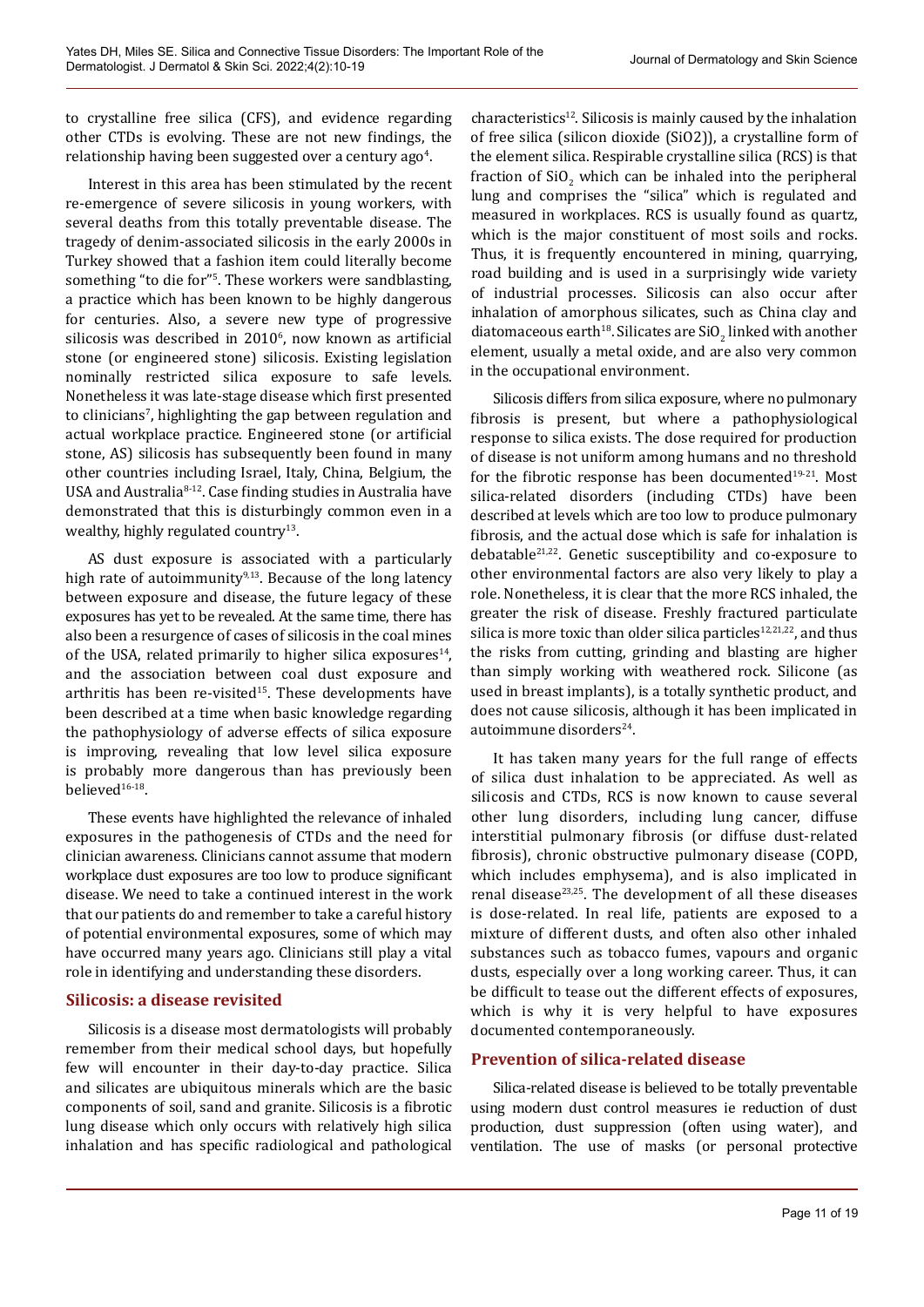to crystalline free silica (CFS), and evidence regarding other CTDs is evolving. These are not new findings, the relationship having been suggested over a century ago<sup>4</sup>.

Interest in this area has been stimulated by the recent re-emergence of severe silicosis in young workers, with several deaths from this totally preventable disease. The tragedy of denim-associated silicosis in the early 2000s in Turkey showed that a fashion item could literally become something "to die for"5 . These workers were sandblasting, a practice which has been known to be highly dangerous for centuries. Also, a severe new type of progressive  $s$ ilicosis was described in 2010 $\degree$ , now known as artificial stone (or engineered stone) silicosis. Existing legislation nominally restricted silica exposure to safe levels. Nonetheless it was late-stage disease which first presented to clinicians<sup>7</sup>, highlighting the gap between regulation and actual workplace practice. Engineered stone (or artificial stone, AS) silicosis has subsequently been found in many other countries including Israel, Italy, China, Belgium, the USA and Australia<sup>8-12</sup>. Case finding studies in Australia have demonstrated that this is disturbingly common even in a wealthy, highly regulated country<sup>13</sup>.

AS dust exposure is associated with a particularly high rate of autoimmunity $9,13$ . Because of the long latency between exposure and disease, the future legacy of these exposures has yet to be revealed. At the same time, there has also been a resurgence of cases of silicosis in the coal mines of the USA, related primarily to higher silica exposures<sup>14</sup>, and the association between coal dust exposure and arthritis has been re-visited $15$ . These developments have been described at a time when basic knowledge regarding the pathophysiology of adverse effects of silica exposure is improving, revealing that low level silica exposure is probably more dangerous than has previously been believed<sup>16-18</sup>.

These events have highlighted the relevance of inhaled exposures in the pathogenesis of CTDs and the need for clinician awareness. Clinicians cannot assume that modern workplace dust exposures are too low to produce significant disease. We need to take a continued interest in the work that our patients do and remember to take a careful history of potential environmental exposures, some of which may have occurred many years ago. Clinicians still play a vital role in identifying and understanding these disorders.

## **Silicosis: a disease revisited**

Silicosis is a disease most dermatologists will probably remember from their medical school days, but hopefully few will encounter in their day-to-day practice. Silica and silicates are ubiquitous minerals which are the basic components of soil, sand and granite. Silicosis is a fibrotic lung disease which only occurs with relatively high silica inhalation and has specific radiological and pathological

 $characteristics<sup>12</sup>$ . Silicosis is mainly caused by the inhalation of free silica (silicon dioxide (SiO2)), a crystalline form of the element silica. Respirable crystalline silica (RCS) is that fraction of  $\text{SiO}_2$  which can be inhaled into the peripheral lung and comprises the "silica" which is regulated and measured in workplaces. RCS is usually found as quartz, which is the major constituent of most soils and rocks. Thus, it is frequently encountered in mining, quarrying, road building and is used in a surprisingly wide variety of industrial processes. Silicosis can also occur after inhalation of amorphous silicates, such as China clay and diatomaceous earth<sup>18</sup>. Silicates are  $\text{SiO}_2$  linked with another element, usually a metal oxide, and are also very common in the occupational environment.

Silicosis differs from silica exposure, where no pulmonary fibrosis is present, but where a pathophysiological response to silica exists. The dose required for production of disease is not uniform among humans and no threshold for the fibrotic response has been documented<sup>19-21</sup>. Most silica-related disorders (including CTDs) have been described at levels which are too low to produce pulmonary fibrosis, and the actual dose which is safe for inhalation is debatable21,22. Genetic susceptibility and co-exposure to other environmental factors are also very likely to play a role. Nonetheless, it is clear that the more RCS inhaled, the greater the risk of disease. Freshly fractured particulate silica is more toxic than older silica particles $12,21,22$ , and thus the risks from cutting, grinding and blasting are higher than simply working with weathered rock. Silicone (as used in breast implants), is a totally synthetic product, and does not cause silicosis, although it has been implicated in autoimmune disorders<sup>24</sup>.

It has taken many years for the full range of effects of silica dust inhalation to be appreciated. As well as silicosis and CTDs, RCS is now known to cause several other lung disorders, including lung cancer, diffuse interstitial pulmonary fibrosis (or diffuse dust-related fibrosis), chronic obstructive pulmonary disease (COPD, which includes emphysema), and is also implicated in renal disease $2^{3,25}$ . The development of all these diseases is dose-related. In real life, patients are exposed to a mixture of different dusts, and often also other inhaled substances such as tobacco fumes, vapours and organic dusts, especially over a long working career. Thus, it can be difficult to tease out the different effects of exposures, which is why it is very helpful to have exposures documented contemporaneously.

# **Prevention of silica-related disease**

Silica-related disease is believed to be totally preventable using modern dust control measures ie reduction of dust production, dust suppression (often using water), and ventilation. The use of masks (or personal protective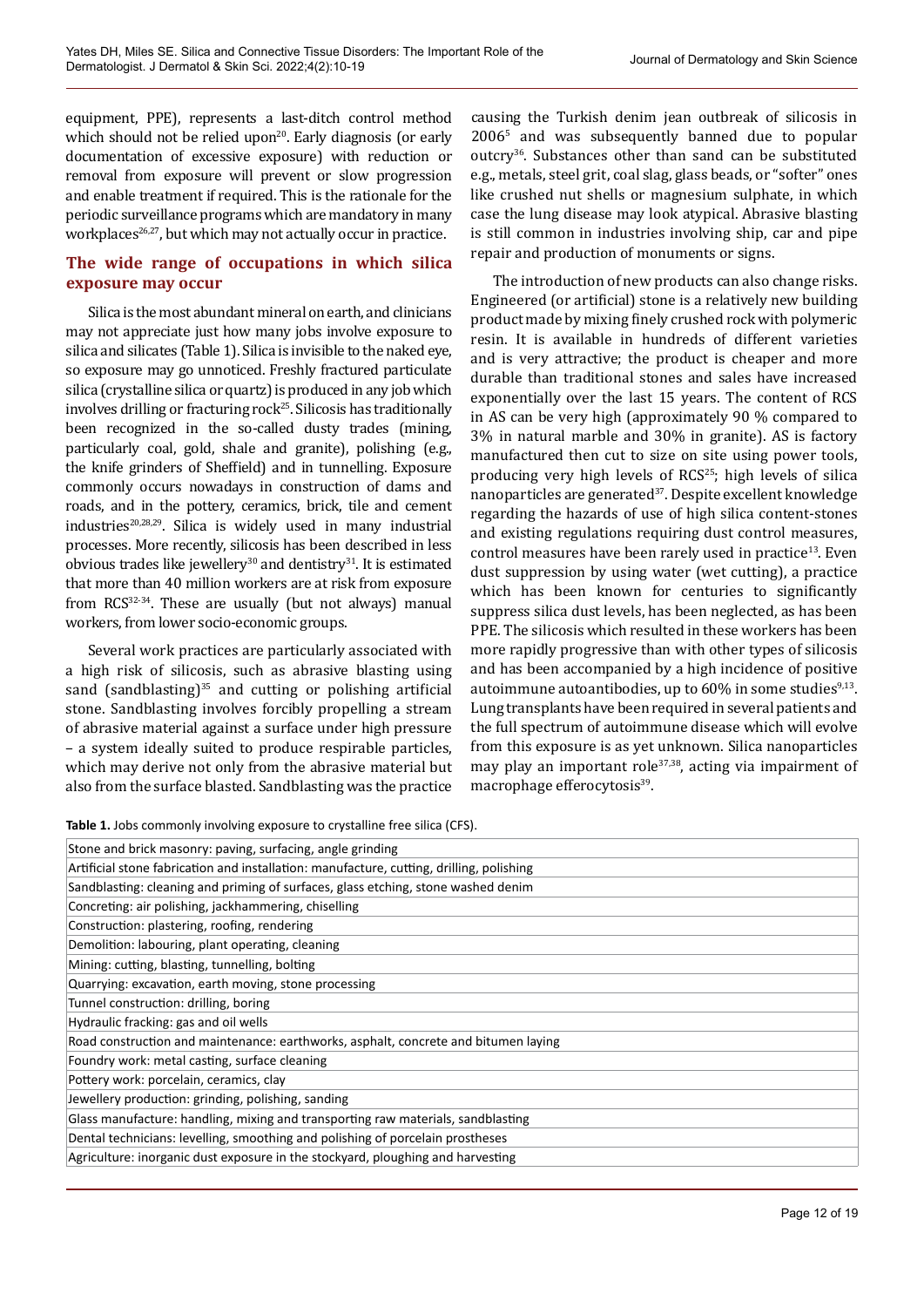equipment, PPE), represents a last-ditch control method which should not be relied upon $20$ . Early diagnosis (or early documentation of excessive exposure) with reduction or removal from exposure will prevent or slow progression and enable treatment if required. This is the rationale for the periodic surveillance programs which are mandatory in many workplaces<sup>26,27</sup>, but which may not actually occur in practice.

## **The wide range of occupations in which silica exposure may occur**

Silica is the most abundant mineral on earth, and clinicians may not appreciate just how many jobs involve exposure to silica and silicates (Table 1). Silica is invisible to the naked eye, so exposure may go unnoticed. Freshly fractured particulate silica (crystalline silica or quartz) is produced in any job which involves drilling or fracturing rock<sup>25</sup>. Silicosis has traditionally been recognized in the so-called dusty trades (mining, particularly coal, gold, shale and granite), polishing (e.g., the knife grinders of Sheffield) and in tunnelling. Exposure commonly occurs nowadays in construction of dams and roads, and in the pottery, ceramics, brick, tile and cement  $industries<sup>20,28,29</sup>$ . Silica is widely used in many industrial processes. More recently, silicosis has been described in less obvious trades like jewellery<sup>30</sup> and dentistry<sup>31</sup>. It is estimated that more than 40 million workers are at risk from exposure from RCS32-34. These are usually (but not always) manual workers, from lower socio-economic groups.

Several work practices are particularly associated with a high risk of silicosis, such as abrasive blasting using sand (sandblasting) $35$  and cutting or polishing artificial stone. Sandblasting involves forcibly propelling a stream of abrasive material against a surface under high pressure – a system ideally suited to produce respirable particles, which may derive not only from the abrasive material but also from the surface blasted. Sandblasting was the practice

causing the Turkish denim jean outbreak of silicosis in 20065 and was subsequently banned due to popular outcry36. Substances other than sand can be substituted e.g., metals, steel grit, coal slag, glass beads, or "softer" ones like crushed nut shells or magnesium sulphate, in which case the lung disease may look atypical. Abrasive blasting is still common in industries involving ship, car and pipe repair and production of monuments or signs.

The introduction of new products can also change risks. Engineered (or artificial) stone is a relatively new building product made by mixing finely crushed rock with polymeric resin. It is available in hundreds of different varieties and is very attractive; the product is cheaper and more durable than traditional stones and sales have increased exponentially over the last 15 years. The content of RCS in AS can be very high (approximately 90 % compared to 3% in natural marble and 30% in granite). AS is factory manufactured then cut to size on site using power tools, producing very high levels of RCS<sup>25</sup>; high levels of silica nanoparticles are generated<sup>37</sup>. Despite excellent knowledge regarding the hazards of use of high silica content-stones and existing regulations requiring dust control measures, control measures have been rarely used in practice<sup>13</sup>. Even dust suppression by using water (wet cutting), a practice which has been known for centuries to significantly suppress silica dust levels, has been neglected, as has been PPE. The silicosis which resulted in these workers has been more rapidly progressive than with other types of silicosis and has been accompanied by a high incidence of positive autoimmune autoantibodies, up to  $60\%$  in some studies<sup>9,13</sup>. Lung transplants have been required in several patients and the full spectrum of autoimmune disease which will evolve from this exposure is as yet unknown. Silica nanoparticles may play an important role<sup>37,38</sup>, acting via impairment of macrophage efferocytosis<sup>39</sup>.

**Table 1.** Jobs commonly involving exposure to crystalline free silica (CFS).

| Stone and brick masonry: paving, surfacing, angle grinding                               |
|------------------------------------------------------------------------------------------|
|                                                                                          |
| Artificial stone fabrication and installation: manufacture, cutting, drilling, polishing |
| Sandblasting: cleaning and priming of surfaces, glass etching, stone washed denim        |
| Concreting: air polishing, jackhammering, chiselling                                     |
| Construction: plastering, roofing, rendering                                             |
| Demolition: labouring, plant operating, cleaning                                         |
| Mining: cutting, blasting, tunnelling, bolting                                           |
| Quarrying: excavation, earth moving, stone processing                                    |
| Tunnel construction: drilling, boring                                                    |
| Hydraulic fracking: gas and oil wells                                                    |
| Road construction and maintenance: earthworks, asphalt, concrete and bitumen laying      |
| Foundry work: metal casting, surface cleaning                                            |
| Pottery work: porcelain, ceramics, clay                                                  |
| Jewellery production: grinding, polishing, sanding                                       |
| Glass manufacture: handling, mixing and transporting raw materials, sandblasting         |
| Dental technicians: levelling, smoothing and polishing of porcelain prostheses           |
| Agriculture: inorganic dust exposure in the stockyard, ploughing and harvesting          |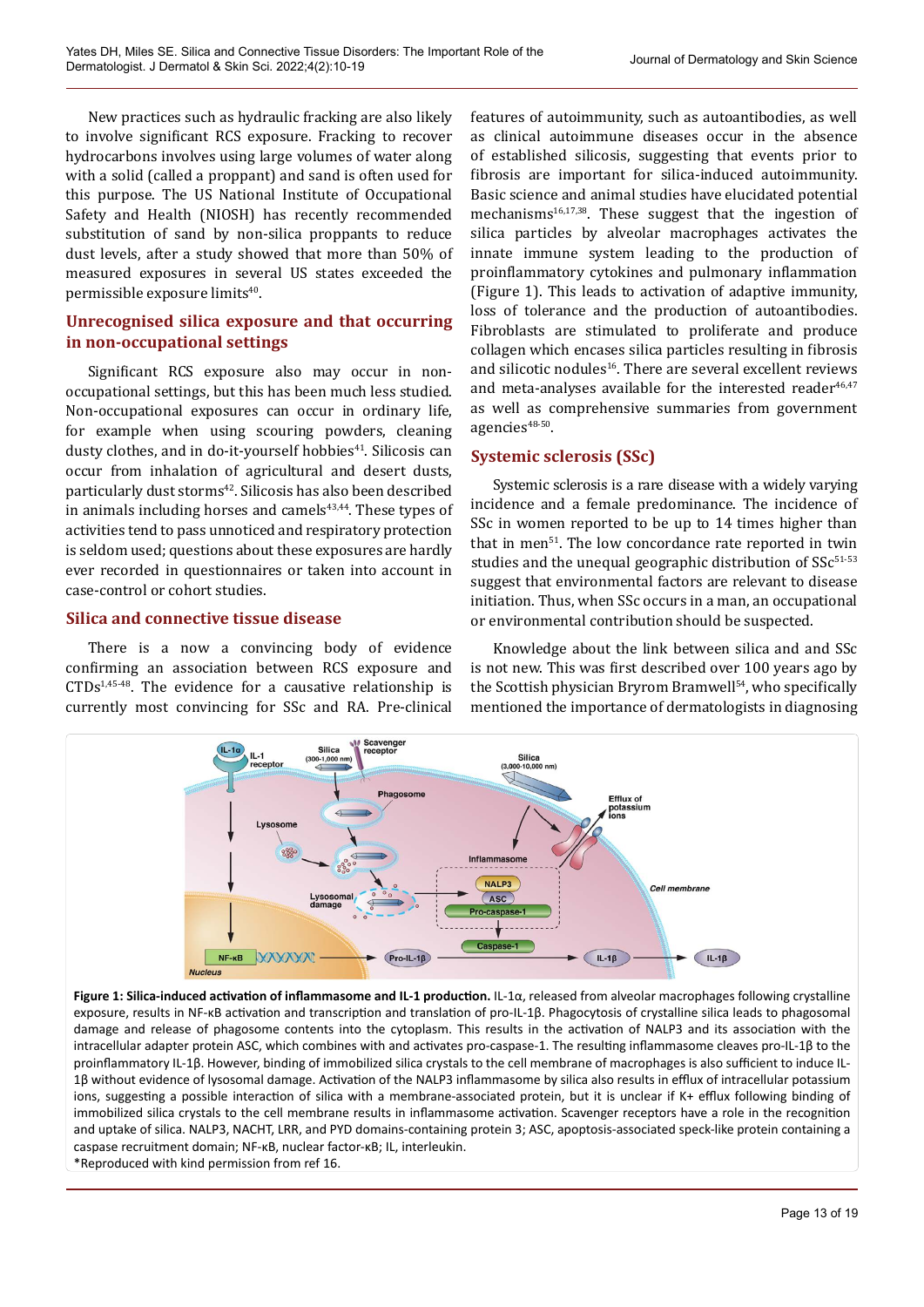New practices such as hydraulic fracking are also likely to involve significant RCS exposure. Fracking to recover hydrocarbons involves using large volumes of water along with a solid (called a proppant) and sand is often used for this purpose. The US National Institute of Occupational Safety and Health (NIOSH) has recently recommended substitution of sand by non-silica proppants to reduce dust levels, after a study showed that more than 50% of measured exposures in several US states exceeded the permissible exposure limits<sup>40</sup>.

# **Unrecognised silica exposure and that occurring in non-occupational settings**

Significant RCS exposure also may occur in nonoccupational settings, but this has been much less studied. Non-occupational exposures can occur in ordinary life, for example when using scouring powders, cleaning dusty clothes, and in do-it-yourself hobbies<sup>41</sup>. Silicosis can occur from inhalation of agricultural and desert dusts, particularly dust storms<sup>42</sup>. Silicosis has also been described in animals including horses and camels $43,44$ . These types of activities tend to pass unnoticed and respiratory protection is seldom used; questions about these exposures are hardly ever recorded in questionnaires or taken into account in case-control or cohort studies.

## **Silica and connective tissue disease**

There is a now a convincing body of evidence confirming an association between RCS exposure and  $CTDs^{1,45-48}$ . The evidence for a causative relationship is currently most convincing for SSc and RA. Pre-clinical

features of autoimmunity, such as autoantibodies, as well as clinical autoimmune diseases occur in the absence of established silicosis, suggesting that events prior to fibrosis are important for silica-induced autoimmunity. Basic science and animal studies have elucidated potential mechanisms<sup>16,17,38</sup>. These suggest that the ingestion of silica particles by alveolar macrophages activates the innate immune system leading to the production of proinflammatory cytokines and pulmonary inflammation (Figure 1). This leads to activation of adaptive immunity, loss of tolerance and the production of autoantibodies. Fibroblasts are stimulated to proliferate and produce collagen which encases silica particles resulting in fibrosis and silicotic nodules<sup>16</sup>. There are several excellent reviews and meta-analyses available for the interested reader $46.47$ as well as comprehensive summaries from government agencies<sup>48-50</sup>.

# **Systemic sclerosis (SSc)**

Systemic sclerosis is a rare disease with a widely varying incidence and a female predominance. The incidence of SSc in women reported to be up to 14 times higher than that in men<sup>51</sup>. The low concordance rate reported in twin studies and the unequal geographic distribution of  $SSc^{51-53}$ suggest that environmental factors are relevant to disease initiation. Thus, when SSc occurs in a man, an occupational or environmental contribution should be suspected.

Knowledge about the link between silica and and SSc is not new. This was first described over 100 years ago by the Scottish physician Bryrom Bramwell<sup>54</sup>, who specifically mentioned the importance of dermatologists in diagnosing



**Figure 1: Silica-induced activation of inflammasome and IL-1 production.** IL-1α, released from alveolar macrophages following crystalline exposure, results in NF-κB activation and transcription and translation of pro-IL-1β. Phagocytosis of crystalline silica leads to phagosomal damage and release of phagosome contents into the cytoplasm. This results in the activation of NALP3 and its association with the intracellular adapter protein ASC, which combines with and activates pro-caspase-1. The resulting inflammasome cleaves pro-IL-1β to the proinflammatory IL-1β. However, binding of immobilized silica crystals to the cell membrane of macrophages is also sufficient to induce IL-1β without evidence of lysosomal damage. Activation of the NALP3 inflammasome by silica also results in efflux of intracellular potassium ions, suggesting a possible interaction of silica with a membrane-associated protein, but it is unclear if K+ efflux following binding of immobilized silica crystals to the cell membrane results in inflammasome activation. Scavenger receptors have a role in the recognition and uptake of silica. NALP3, NACHT, LRR, and PYD domains-containing protein 3; ASC, apoptosis-associated speck-like protein containing a caspase recruitment domain; NF-κB, nuclear factor-κB; IL, interleukin. \*Reproduced with kind permission from ref 16.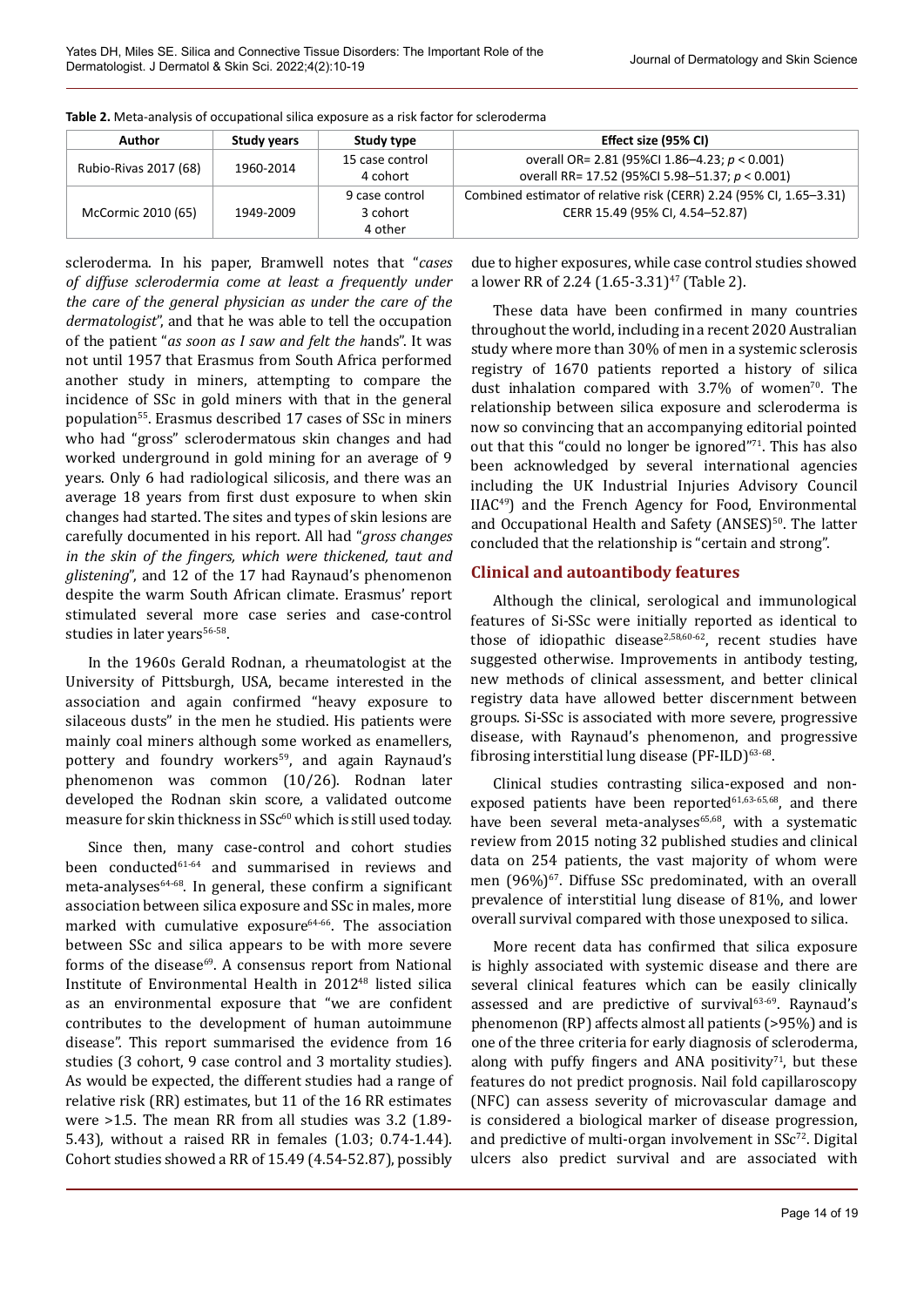| <b>Author</b>         | <b>Study years</b> | Study type                            | Effect size (95% CI)                                                                                   |
|-----------------------|--------------------|---------------------------------------|--------------------------------------------------------------------------------------------------------|
| Rubio-Rivas 2017 (68) | 1960-2014          | 15 case control<br>4 cohort           | overall OR= 2.81 (95%Cl 1.86-4.23; $p < 0.001$ )<br>overall RR= 17.52 (95%CI 5.98-51.37; p < 0.001)    |
| McCormic 2010 (65)    | 1949-2009          | 9 case control<br>3 cohort<br>4 other | Combined estimator of relative risk (CERR) 2.24 (95% CI, 1.65–3.31)<br>CERR 15.49 (95% CI, 4.54-52.87) |

**Table 2.** Meta-analysis of occupational silica exposure as a risk factor for scleroderma

scleroderma. In his paper, Bramwell notes that "*cases of diffuse sclerodermia come at least a frequently under the care of the general physician as under the care of the dermatologist*", and that he was able to tell the occupation of the patient "*as soon as I saw and felt the h*ands". It was not until 1957 that Erasmus from South Africa performed another study in miners, attempting to compare the incidence of SSc in gold miners with that in the general population<sup>55</sup>. Erasmus described 17 cases of SSc in miners who had "gross" sclerodermatous skin changes and had worked underground in gold mining for an average of 9 years. Only 6 had radiological silicosis, and there was an average 18 years from first dust exposure to when skin changes had started. The sites and types of skin lesions are carefully documented in his report. All had "*gross changes in the skin of the fingers, which were thickened, taut and glistening*", and 12 of the 17 had Raynaud's phenomenon despite the warm South African climate. Erasmus' report stimulated several more case series and case-control studies in later years<sup>56-58</sup>.

In the 1960s Gerald Rodnan, a rheumatologist at the University of Pittsburgh, USA, became interested in the association and again confirmed "heavy exposure to silaceous dusts" in the men he studied. His patients were mainly coal miners although some worked as enamellers, pottery and foundry workers<sup>59</sup>, and again Raynaud's phenomenon was common (10/26). Rodnan later developed the Rodnan skin score, a validated outcome measure for skin thickness in SSc<sup>60</sup> which is still used today.

Since then, many case-control and cohort studies been conducted<sup>61-64</sup> and summarised in reviews and meta-analyses64-68. In general, these confirm a significant association between silica exposure and SSc in males, more marked with cumulative exposure $64-66$ . The association between SSc and silica appears to be with more severe forms of the disease $69$ . A consensus report from National Institute of Environmental Health in 201248 listed silica as an environmental exposure that "we are confident contributes to the development of human autoimmune disease". This report summarised the evidence from 16 studies (3 cohort, 9 case control and 3 mortality studies). As would be expected, the different studies had a range of relative risk (RR) estimates, but 11 of the 16 RR estimates were >1.5. The mean RR from all studies was 3.2 (1.89- 5.43), without a raised RR in females (1.03; 0.74-1.44). Cohort studies showed a RR of 15.49 (4.54-52.87), possibly

due to higher exposures, while case control studies showed a lower RR of 2.24  $(1.65-3.31)^{47}$  (Table 2).

These data have been confirmed in many countries throughout the world, including in a recent 2020 Australian study where more than 30% of men in a systemic sclerosis registry of 1670 patients reported a history of silica dust inhalation compared with  $3.7\%$  of women<sup>70</sup>. The relationship between silica exposure and scleroderma is now so convincing that an accompanying editorial pointed out that this "could no longer be ignored"71. This has also been acknowledged by several international agencies including the UK Industrial Injuries Advisory Council IIAC49) and the French Agency for Food, Environmental and Occupational Health and Safety (ANSES)<sup>50</sup>. The latter concluded that the relationship is "certain and strong".

## **Clinical and autoantibody features**

Although the clinical, serological and immunological features of Si-SSc were initially reported as identical to those of idiopathic disease<sup>2,58,60-62</sup>, recent studies have suggested otherwise. Improvements in antibody testing, new methods of clinical assessment, and better clinical registry data have allowed better discernment between groups. Si-SSc is associated with more severe, progressive disease, with Raynaud's phenomenon, and progressive fibrosing interstitial lung disease  $(PF-ILD)^{63-68}$ .

Clinical studies contrasting silica-exposed and nonexposed patients have been reported $61,63.65,68$ , and there have been several meta-analyses<sup>65,68</sup>, with a systematic review from 2015 noting 32 published studies and clinical data on 254 patients, the vast majority of whom were men (96%)<sup>67</sup>. Diffuse SSc predominated, with an overall prevalence of interstitial lung disease of 81%, and lower overall survival compared with those unexposed to silica.

More recent data has confirmed that silica exposure is highly associated with systemic disease and there are several clinical features which can be easily clinically assessed and are predictive of survival<sup>63-69</sup>. Raynaud's phenomenon (RP) affects almost all patients (>95%) and is one of the three criteria for early diagnosis of scleroderma, along with puffy fingers and ANA positivity<sup>71</sup>, but these features do not predict prognosis. Nail fold capillaroscopy (NFC) can assess severity of microvascular damage and is considered a biological marker of disease progression, and predictive of multi-organ involvement in  $SSc^{72}$ . Digital ulcers also predict survival and are associated with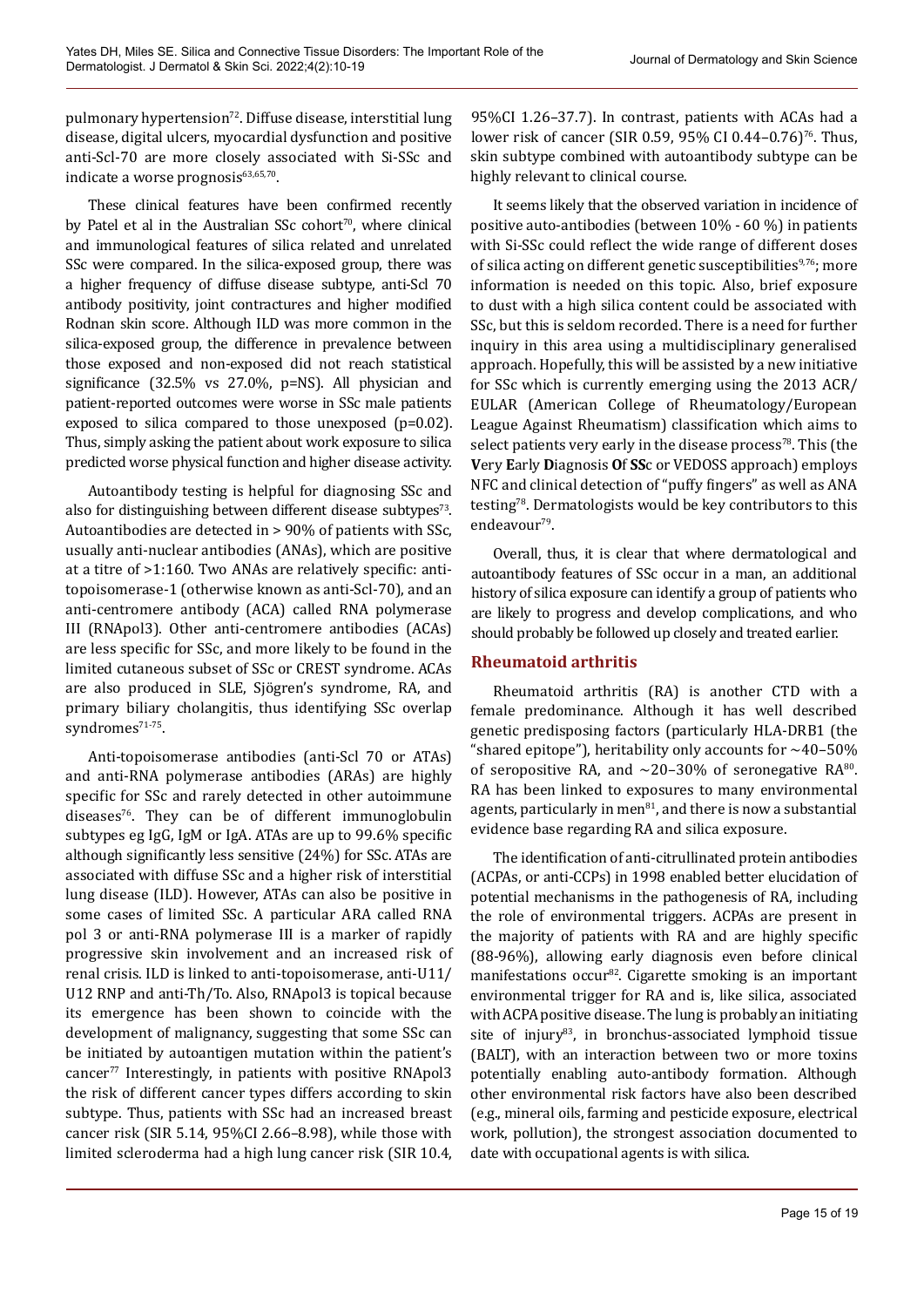pulmonary hypertension<sup>72</sup>. Diffuse disease, interstitial lung disease, digital ulcers, myocardial dysfunction and positive anti-Scl-70 are more closely associated with Si-SSc and indicate a worse prognosis<sup>63,65,70</sup>.

These clinical features have been confirmed recently by Patel et al in the Australian SSc cohort<sup>70</sup>, where clinical and immunological features of silica related and unrelated SSc were compared. In the silica-exposed group, there was a higher frequency of diffuse disease subtype, anti-Scl 70 antibody positivity, joint contractures and higher modified Rodnan skin score. Although ILD was more common in the silica-exposed group, the difference in prevalence between those exposed and non-exposed did not reach statistical significance (32.5% vs 27.0%, p=NS). All physician and patient-reported outcomes were worse in SSc male patients exposed to silica compared to those unexposed (p=0.02). Thus, simply asking the patient about work exposure to silica predicted worse physical function and higher disease activity.

Autoantibody testing is helpful for diagnosing SSc and also for distinguishing between different disease subtypes<sup>73</sup>. Autoantibodies are detected in > 90% of patients with SSc, usually anti-nuclear antibodies (ANAs), which are positive at a titre of >1:160. Two ANAs are relatively specific: antitopoisomerase-1 (otherwise known as anti-Scl-70), and an anti-centromere antibody (ACA) called RNA polymerase III (RNApol3). Other anti-centromere antibodies (ACAs) are less specific for SSc, and more likely to be found in the limited cutaneous subset of SSc or CREST syndrome. ACAs are also produced in SLE, Sjögren's syndrome, RA, and primary biliary cholangitis, thus identifying SSc overlap syndromes<sup>71-75</sup>.

Anti-topoisomerase antibodies (anti-Scl 70 or ATAs) and anti-RNA polymerase antibodies (ARAs) are highly specific for SSc and rarely detected in other autoimmune diseases<sup>76</sup>. They can be of different immunoglobulin subtypes eg IgG, IgM or IgA. ATAs are up to 99.6% specific although significantly less sensitive (24%) for SSc. ATAs are associated with diffuse SSc and a higher risk of interstitial lung disease (ILD). However, ATAs can also be positive in some cases of limited SSc. A particular ARA called RNA pol 3 or anti-RNA polymerase III is a marker of rapidly progressive skin involvement and an increased risk of renal crisis. ILD is linked to anti-topoisomerase, anti-U11/ U12 RNP and anti-Th/To. Also, RNApol3 is topical because its emergence has been shown to coincide with the development of malignancy, suggesting that some SSc can be initiated by autoantigen mutation within the patient's cancer<sup>77</sup> Interestingly, in patients with positive RNApol3 the risk of different cancer types differs according to skin subtype. Thus, patients with SSc had an increased breast cancer risk (SIR 5.14, 95%CI 2.66–8.98), while those with limited scleroderma had a high lung cancer risk (SIR 10.4,

95%CI 1.26–37.7). In contrast, patients with ACAs had a lower risk of cancer (SIR 0.59, 95% CI 0.44-0.76)<sup>76</sup>. Thus, skin subtype combined with autoantibody subtype can be highly relevant to clinical course.

It seems likely that the observed variation in incidence of positive auto-antibodies (between 10% - 60 %) in patients with Si-SSc could reflect the wide range of different doses of silica acting on different genetic susceptibilities $9,76$ ; more information is needed on this topic. Also, brief exposure to dust with a high silica content could be associated with SSc, but this is seldom recorded. There is a need for further inquiry in this area using a multidisciplinary generalised approach. Hopefully, this will be assisted by a new initiative for SSc which is currently emerging using the 2013 ACR/ EULAR (American College of Rheumatology/European League Against Rheumatism) classification which aims to select patients very early in the disease process<sup>78</sup>. This (the **V**ery **E**arly **D**iagnosis **O**f **SS**c or VEDOSS approach) employs NFC and clinical detection of "puffy fingers" as well as ANA testing78. Dermatologists would be key contributors to this endeavour<sup>79</sup>.

Overall, thus, it is clear that where dermatological and autoantibody features of SSc occur in a man, an additional history of silica exposure can identify a group of patients who are likely to progress and develop complications, and who should probably be followed up closely and treated earlier.

#### **Rheumatoid arthritis**

Rheumatoid arthritis (RA) is another CTD with a female predominance. Although it has well described genetic predisposing factors (particularly HLA-DRB1 (the "shared epitope"), heritability only accounts for  $~10-50\%$ of seropositive RA, and  $\sim$ 20–30% of seronegative RA<sup>80</sup>. RA has been linked to exposures to many environmental agents, particularly in men $81$ , and there is now a substantial evidence base regarding RA and silica exposure.

The identification of anti-citrullinated protein antibodies (ACPAs, or anti-CCPs) in 1998 enabled better elucidation of potential mechanisms in the pathogenesis of RA, including the role of environmental triggers. ACPAs are present in the majority of patients with RA and are highly specific (88-96%), allowing early diagnosis even before clinical manifestations occur<sup>82</sup>. Cigarette smoking is an important environmental trigger for RA and is, like silica, associated with ACPA positive disease. The lung is probably an initiating site of injury<sup>83</sup>, in bronchus-associated lymphoid tissue (BALT), with an interaction between two or more toxins potentially enabling auto-antibody formation. Although other environmental risk factors have also been described (e.g., mineral oils, farming and pesticide exposure, electrical work, pollution), the strongest association documented to date with occupational agents is with silica.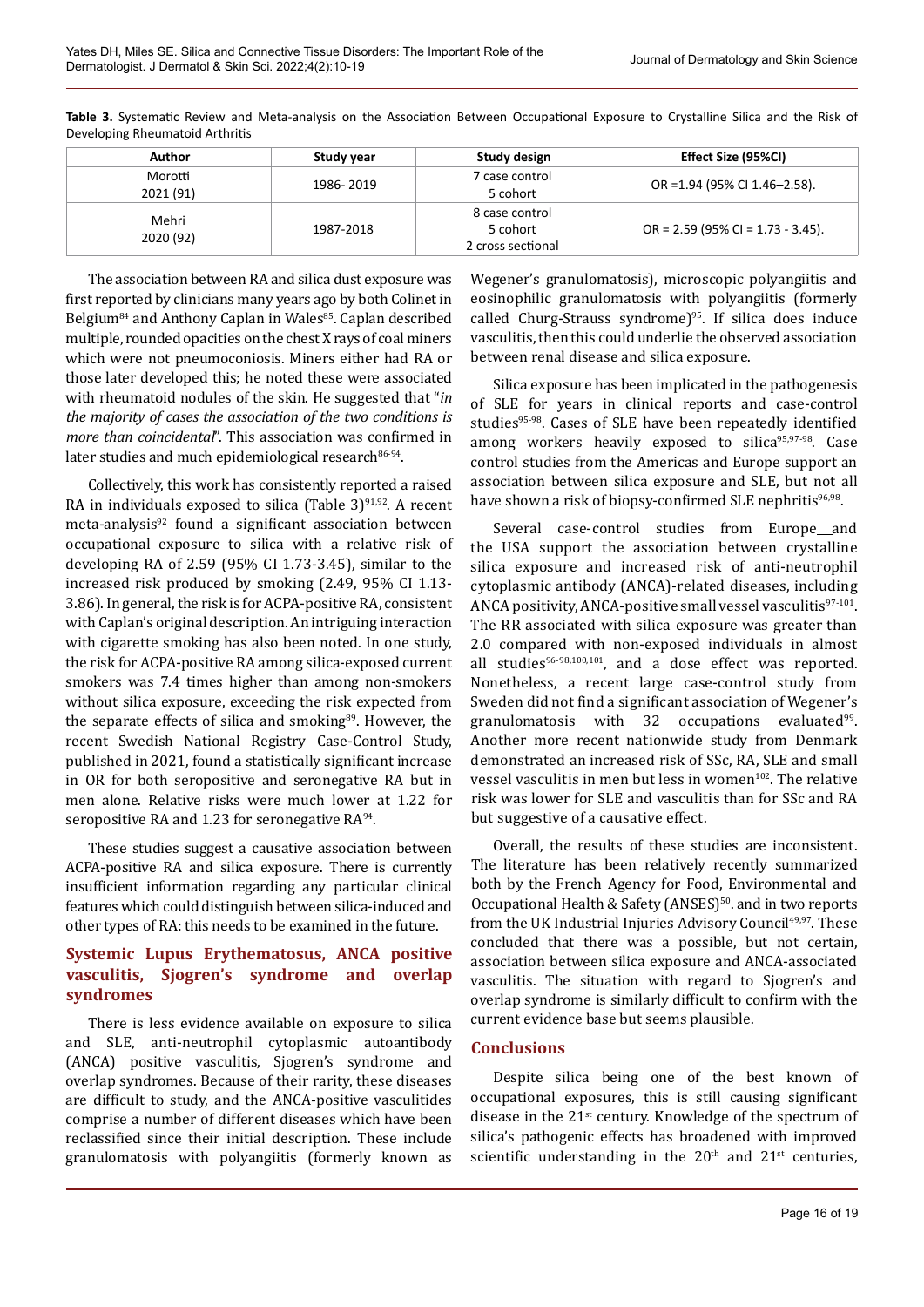| Author               | Study year | Study design                                    | Effect Size (95%CI)                 |
|----------------------|------------|-------------------------------------------------|-------------------------------------|
| Morotti<br>2021 (91) | 1986-2019  | 7 case control<br>5 cohort                      | OR = 1.94 (95% CI 1.46-2.58).       |
| Mehri<br>2020 (92)   | 1987-2018  | 8 case control<br>5 cohort<br>2 cross sectional | $OR = 2.59$ (95% CI = 1.73 - 3.45). |

**Table 3.** Systematic Review and Meta-analysis on the Association Between Occupational Exposure to Crystalline Silica and the Risk of Developing Rheumatoid Arthritis

The association between RA and silica dust exposure was first reported by clinicians many years ago by both Colinet in Belgium<sup>84</sup> and Anthony Caplan in Wales<sup>85</sup>. Caplan described multiple, rounded opacities on the chest X rays of coal miners which were not pneumoconiosis. Miners either had RA or those later developed this; he noted these were associated with rheumatoid nodules of the skin. He suggested that "*in the majority of cases the association of the two conditions is more than coincidental*". This association was confirmed in later studies and much epidemiological research $86-94$ .

Collectively, this work has consistently reported a raised RA in individuals exposed to silica (Table  $3$ )<sup>91,92</sup>. A recent meta-analysis $92$  found a significant association between occupational exposure to silica with a relative risk of developing RA of 2.59 (95% CI 1.73-3.45), similar to the increased risk produced by smoking (2.49, 95% CI 1.13- 3.86). In general, the risk is for ACPA-positive RA, consistent with Caplan's original description. An intriguing interaction with cigarette smoking has also been noted. In one study, the risk for ACPA-positive RA among silica-exposed current smokers was 7.4 times higher than among non-smokers without silica exposure, exceeding the risk expected from the separate effects of silica and smoking<sup>89</sup>. However, the recent Swedish National Registry Case-Control Study, published in 2021, found a statistically significant increase in OR for both seropositive and seronegative RA but in men alone. Relative risks were much lower at 1.22 for seropositive RA and 1.23 for seronegative  $RA<sup>94</sup>$ .

These studies suggest a causative association between ACPA-positive RA and silica exposure. There is currently insufficient information regarding any particular clinical features which could distinguish between silica-induced and other types of RA: this needs to be examined in the future.

# **Systemic Lupus Erythematosus, ANCA positive vasculitis, Sjogren's syndrome and overlap syndromes**

There is less evidence available on exposure to silica and SLE, anti-neutrophil cytoplasmic autoantibody (ANCA) positive vasculitis, Sjogren's syndrome and overlap syndromes. Because of their rarity, these diseases are difficult to study, and the ANCA-positive vasculitides comprise a number of different diseases which have been reclassified since their initial description. These include granulomatosis with polyangiitis (formerly known as

Wegener's granulomatosis), microscopic polyangiitis and eosinophilic granulomatosis with polyangiitis (formerly called Churg-Strauss syndrome)<sup>95</sup>. If silica does induce vasculitis, then this could underlie the observed association between renal disease and silica exposure.

Silica exposure has been implicated in the pathogenesis of SLE for years in clinical reports and case-control studies<sup>95-98</sup>. Cases of SLE have been repeatedly identified among workers heavily exposed to silica95,97-98. Case control studies from the Americas and Europe support an association between silica exposure and SLE, but not all have shown a risk of biopsy-confirmed SLE nephritis<sup>96,98</sup>.

Several case-control studies from Europe\_and the USA support the association between crystalline silica exposure and increased risk of anti-neutrophil cytoplasmic antibody (ANCA)-related diseases, including ANCA positivity, ANCA-positive small vessel vasculitis $97-101$ . The RR associated with silica exposure was greater than 2.0 compared with non-exposed individuals in almost all studies $96-98,100,101$ , and a dose effect was reported. Nonetheless, a recent large case-control study from Sweden did not find a significant association of Wegener's granulomatosis with 32 occupations evaluated $99$ . Another more recent nationwide study from Denmark demonstrated an increased risk of SSc, RA, SLE and small vessel vasculitis in men but less in women<sup>102</sup>. The relative risk was lower for SLE and vasculitis than for SSc and RA but suggestive of a causative effect.

Overall, the results of these studies are inconsistent. The literature has been relatively recently summarized both by the French Agency for Food, Environmental and Occupational Health & Safety (ANSES)<sup>50</sup>. and in two reports from the UK Industrial Injuries Advisory Council<sup>49,97</sup>. These concluded that there was a possible, but not certain, association between silica exposure and ANCA-associated vasculitis. The situation with regard to Sjogren's and overlap syndrome is similarly difficult to confirm with the current evidence base but seems plausible.

## **Conclusions**

Despite silica being one of the best known of occupational exposures, this is still causing significant disease in the 21st century. Knowledge of the spectrum of silica's pathogenic effects has broadened with improved scientific understanding in the  $20<sup>th</sup>$  and  $21<sup>st</sup>$  centuries,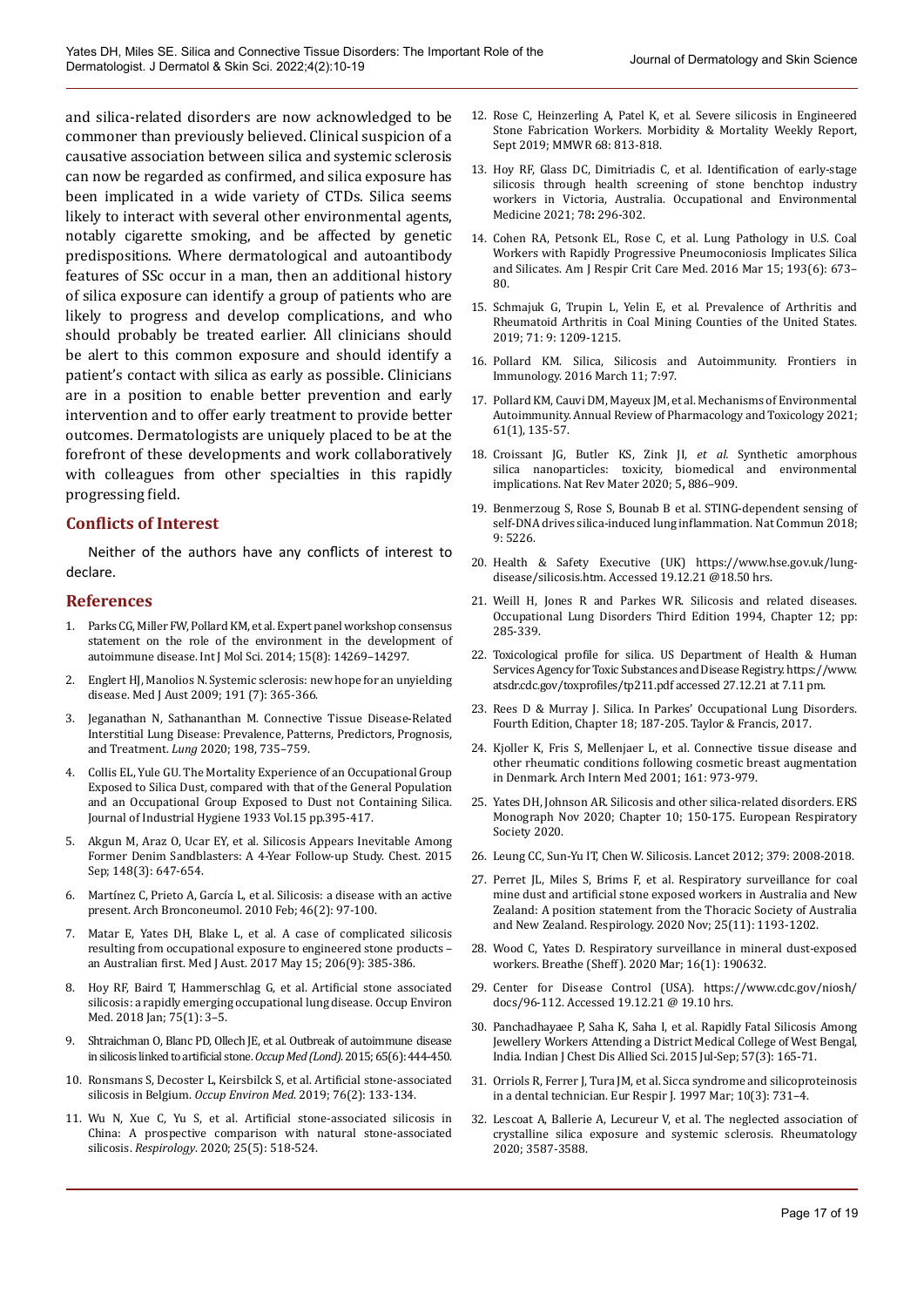and silica-related disorders are now acknowledged to be commoner than previously believed. Clinical suspicion of a causative association between silica and systemic sclerosis can now be regarded as confirmed, and silica exposure has been implicated in a wide variety of CTDs. Silica seems likely to interact with several other environmental agents, notably cigarette smoking, and be affected by genetic predispositions. Where dermatological and autoantibody features of SSc occur in a man, then an additional history of silica exposure can identify a group of patients who are likely to progress and develop complications, and who should probably be treated earlier. All clinicians should be alert to this common exposure and should identify a patient's contact with silica as early as possible. Clinicians are in a position to enable better prevention and early intervention and to offer early treatment to provide better outcomes. Dermatologists are uniquely placed to be at the forefront of these developments and work collaboratively with colleagues from other specialties in this rapidly progressing field.

#### **Conflicts of Interest**

Neither of the authors have any conflicts of interest to declare.

#### **References**

- 1. Parks CG, Miller FW, Pollard KM, et al. Expert panel workshop consensus statement on the role of the environment in the development of autoimmune disease. Int J Mol Sci. 2014; 15(8): 14269–14297.
- 2. Englert HJ, Manolios N. Systemic sclerosis: new hope for an unyielding disease. Med J Aust 2009; 191 (7): 365-366.
- 3. Jeganathan N, Sathananthan M. Connective Tissue Disease-Related Interstitial Lung Disease: Prevalence, Patterns, Predictors, Prognosis, and Treatment. *Lung* 2020; 198, 735–759.
- 4. Collis EL, Yule GU. The Mortality Experience of an Occupational Group Exposed to Silica Dust, compared with that of the General Population and an Occupational Group Exposed to Dust not Containing Silica. Journal of Industrial Hygiene 1933 Vol.15 pp.395-417.
- 5. Akgun M, Araz O, Ucar EY, et al. Silicosis Appears Inevitable Among Former Denim Sandblasters: A 4-Year Follow-up Study. Chest. 2015 Sep; 148(3): 647-654.
- 6. Martínez C, Prieto A, García L, et al. Silicosis: a disease with an active present. Arch Bronconeumol. 2010 Feb; 46(2): 97-100.
- 7. Matar E, Yates DH, Blake L, et al. A case of complicated silicosis resulting from occupational exposure to engineered stone products – an Australian first. Med J Aust. 2017 May 15; 206(9): 385-386.
- 8. Hoy RF, Baird T, Hammerschlag G, et al. Artificial stone associated silicosis: a rapidly emerging occupational lung disease. Occup Environ Med. 2018 Jan; 75(1): 3–5.
- 9. Shtraichman O, Blanc PD, Ollech JE, et al. Outbreak of autoimmune disease in silicosis linked to artificial stone.*Occup Med (Lond)*. 2015; 65(6): 444-450.
- 10. Ronsmans S, Decoster L, Keirsbilck S, et al. Artificial stone-associated silicosis in Belgium. *Occup Environ Med*. 2019; 76(2): 133-134.
- 11. Wu N, Xue C, Yu S, et al. Artificial stone-associated silicosis in China: A prospective comparison with natural stone-associated silicosis. *Respirology*. 2020; 25(5): 518-524.
- 12. Rose C, Heinzerling A, Patel K, et al. Severe silicosis in Engineered Stone Fabrication Workers. Morbidity & Mortality Weekly Report, Sept 2019; MMWR 68: 813-818.
- 13. Hoy RF, Glass DC, Dimitriadis C*,* et al*.* Identification of early-stage silicosis through health screening of stone benchtop industry workers in Victoria, Australia. Occupational and Environmental Medicine 2021; 78**:** 296-302.
- 14. Cohen RA, Petsonk EL, Rose C, et al. Lung Pathology in U.S. Coal Workers with Rapidly Progressive Pneumoconiosis Implicates Silica and Silicates. Am J Respir Crit Care Med. 2016 Mar 15; 193(6): 673– 80.
- 15. Schmajuk G, Trupin L, Yelin E, et al. Prevalence of Arthritis and Rheumatoid Arthritis in Coal Mining Counties of the United States. 2019; 71: 9: 1209-1215.
- 16. Pollard KM. Silica, Silicosis and Autoimmunity. Frontiers in Immunology. 2016 March 11; 7:97.
- 17. Pollard KM, Cauvi DM, Mayeux JM, et al. Mechanisms of Environmental Autoimmunity. Annual Review of Pharmacology and Toxicology 2021; 61(1), 135-57.
- 18. Croissant JG, Butler KS, Zink JI, *et al.* Synthetic amorphous silica nanoparticles: toxicity, biomedical and environmental implications. Nat Rev Mater 2020; 5**,** 886–909.
- 19. Benmerzoug S, Rose S, Bounab B et al. STING-dependent sensing of self-DNA drives silica-induced lung inflammation. Nat Commun 2018; 9: 5226.
- 20. Health & Safety Executive (UK) https://www.hse.gov.uk/lungdisease/silicosis.htm. Accessed 19.12.21 @18.50 hrs.
- 21. Weill H, Jones R and Parkes WR. Silicosis and related diseases. Occupational Lung Disorders Third Edition 1994, Chapter 12; pp: 285-339.
- 22. Toxicological profile for silica. US Department of Health & Human Services Agency for Toxic Substances and Disease Registry. https://www. atsdr.cdc.gov/toxprofiles/tp211.pdf accessed 27.12.21 at 7.11 pm.
- 23. Rees D & Murray J. Silica. In Parkes' Occupational Lung Disorders. Fourth Edition, Chapter 18; 187-205. Taylor & Francis, 2017.
- 24. Kjoller K, Fris S, Mellenjaer L, et al. Connective tissue disease and other rheumatic conditions following cosmetic breast augmentation in Denmark. Arch Intern Med 2001; 161: 973-979.
- 25. Yates DH, Johnson AR. Silicosis and other silica-related disorders. ERS Monograph Nov 2020; Chapter 10; 150-175. European Respiratory Society 2020.
- 26. Leung CC, Sun-Yu IT, Chen W. Silicosis. Lancet 2012; 379: 2008-2018.
- 27. Perret JL, Miles S, Brims F, et al. Respiratory surveillance for coal mine dust and artificial stone exposed workers in Australia and New Zealand: A position statement from the Thoracic Society of Australia and New Zealand. Respirology. 2020 Nov; 25(11): 1193-1202.
- 28. Wood C, Yates D. Respiratory surveillance in mineral dust-exposed workers. Breathe (Sheff). 2020 Mar; 16(1): 190632.
- 29. Center for Disease Control (USA). https://www.cdc.gov/niosh/ docs/96-112. Accessed 19.12.21 @ 19.10 hrs.
- 30. Panchadhayaee P, Saha K, Saha I, et al. [Rapidly Fatal Silicosis Among](https://pubmed.ncbi.nlm.nih.gov/26749915/)  [Jewellery Workers Attending a District Medical College of West Bengal,](https://pubmed.ncbi.nlm.nih.gov/26749915/)  [India.](https://pubmed.ncbi.nlm.nih.gov/26749915/) Indian J Chest Dis Allied Sci. 2015 Jul-Sep; 57(3): 165-71.
- 31. Orriols R, Ferrer J, Tura JM, et al. Sicca syndrome and silicoproteinosis in a dental technician. Eur Respir J. 1997 Mar; 10(3): 731–4.
- 32. Lescoat A, Ballerie A, Lecureur V, et al. The neglected association of crystalline silica exposure and systemic sclerosis. Rheumatology 2020; 3587-3588.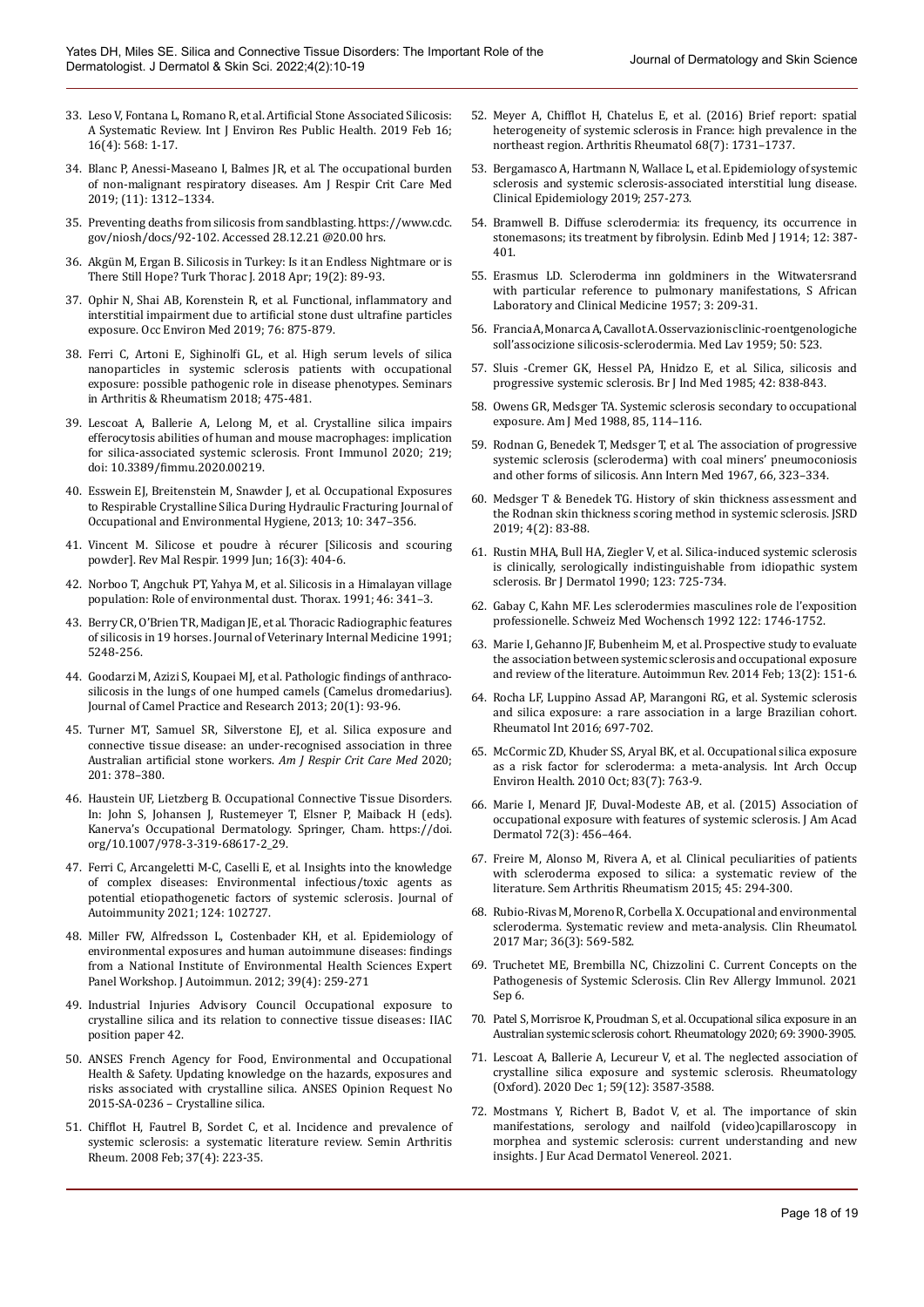- 33. Leso V, Fontana L, Romano R, et al. Artificial Stone Associated Silicosis: A Systematic Review. Int J Environ Res Public Health. 2019 Feb 16; 16(4): 568: 1-17.
- 34. Blanc P, Anessi-Maseano I, Balmes JR, et al. The occupational burden of non-malignant respiratory diseases. Am J Respir Crit Care Med 2019; (11): 1312–1334.
- 35. Preventing deaths from silicosis from sandblasting. https://www.cdc. gov/niosh/docs/92-102. Accessed 28.12.21 @20.00 hrs.
- 36. Akgün M, Ergan B. Silicosis in Turkey: Is it an Endless Nightmare or is There Still Hope? Turk Thorac J. 2018 Apr; 19(2): 89-93.
- 37. Ophir N, Shai AB, Korenstein R, et al. Functional, inflammatory and interstitial impairment due to artificial stone dust ultrafine particles exposure. Occ Environ Med 2019; 76: 875-879.
- 38. Ferri C, Artoni E, Sighinolfi GL, et al. High serum levels of silica nanoparticles in systemic sclerosis patients with occupational exposure: possible pathogenic role in disease phenotypes. Seminars in Arthritis & Rheumatism 2018; 475-481.
- 39. Lescoat A, Ballerie A, Lelong M, et al. Crystalline silica impairs efferocytosis abilities of human and mouse macrophages: implication for silica-associated systemic sclerosis. Front Immunol 2020; 219; doi: 10.3389/fimmu.2020.00219.
- 40. Esswein EJ, Breitenstein M, Snawder J, et al. Occupational Exposures to Respirable Crystalline Silica During Hydraulic Fracturing Journal of Occupational and Environmental Hygiene, 2013; 10: 347–356.
- 41. Vincent M. Silicose et poudre à récurer [Silicosis and scouring powder]. Rev Mal Respir. 1999 Jun; 16(3): 404-6.
- 42. Norboo T, Angchuk PT, Yahya M, et al. Silicosis in a Himalayan village population: Role of environmental dust. Thorax. 1991; 46: 341–3.
- 43. Berry CR, O'Brien TR, Madigan JE, et al. Thoracic Radiographic features of silicosis in 19 horses. Journal of Veterinary Internal Medicine 1991; 5248-256.
- 44. Goodarzi M, Azizi S, Koupaei MJ, et al. Pathologic findings of anthracosilicosis in the lungs of one humped camels (Camelus dromedarius). Journal of Camel Practice and Research 2013; 20(1): 93-96.
- 45. Turner MT, Samuel SR, Silverstone EJ, et al. Silica exposure and connective tissue disease: an under-recognised association in three Australian artificial stone workers. *Am J Respir Crit Care Med* 2020; 201: 378–380.
- 46. Haustein UF, Lietzberg B. Occupational Connective Tissue Disorders. In: John S, Johansen J, Rustemeyer T, Elsner P, Maiback H (eds). Kanerva's Occupational Dermatology. Springer, Cham. https://doi. org/10.1007/978-3-319-68617-2\_29.
- 47. Ferri C, Arcangeletti M-C, Caselli E, et al. Insights into the knowledge of complex diseases: Environmental infectious/toxic agents as potential etiopathogenetic factors of systemic sclerosis. Journal of Autoimmunity 2021; 124: 102727.
- 48. Miller FW, Alfredsson L, Costenbader KH, et al. Epidemiology of environmental exposures and human autoimmune diseases: findings from a National Institute of Environmental Health Sciences Expert Panel Workshop. J Autoimmun. 2012; 39(4): 259-271
- 49. Industrial Injuries Advisory Council Occupational exposure to crystalline silica and its relation to connective tissue diseases: IIAC position paper 42.
- 50. ANSES French Agency for Food, Environmental and Occupational Health & Safety. Updating knowledge on the hazards, exposures and risks associated with crystalline silica. ANSES Opinion Request No 2015-SA-0236 – Crystalline silica.
- 51. Chifflot H, Fautrel B, Sordet C, et al. Incidence and prevalence of systemic sclerosis: a systematic literature review. Semin Arthritis Rheum. 2008 Feb; 37(4): 223-35.
- 52. Meyer A, Chifflot H, Chatelus E, et al. (2016) Brief report: spatial heterogeneity of systemic sclerosis in France: high prevalence in the northeast region. Arthritis Rheumatol 68(7): 1731–1737.
- 53. Bergamasco A, Hartmann N, Wallace L, et al. Epidemiology of systemic sclerosis and systemic sclerosis-associated interstitial lung disease. Clinical Epidemiology 2019; 257-273.
- 54. Bramwell B. Diffuse sclerodermia: its frequency, its occurrence in stonemasons; its treatment by fibrolysin. Edinb Med J 1914; 12: 387- 401.
- 55. Erasmus LD. Scleroderma inn goldminers in the Witwatersrand with particular reference to pulmonary manifestations, S African Laboratory and Clinical Medicine 1957; 3: 209-31.
- 56. Francia A, Monarca A, Cavallot A. Osservazionis clinic-roentgenologiche soll'associzione silicosis-sclerodermia. Med Lav 1959; 50: 523.
- 57. Sluis -Cremer GK, Hessel PA, Hnidzo E, et al. Silica, silicosis and progressive systemic sclerosis. Br J Ind Med 1985; 42: 838-843.
- 58. Owens GR, Medsger TA. Systemic sclerosis secondary to occupational exposure. Am J Med 1988, 85, 114–116.
- 59. Rodnan G, Benedek T, Medsger T, et al. The association of progressive systemic sclerosis (scleroderma) with coal miners' pneumoconiosis and other forms of silicosis. Ann Intern Med 1967, 66, 323–334.
- 60. Medsger T & Benedek TG. History of skin thickness assessment and the Rodnan skin thickness scoring method in systemic sclerosis. JSRD 2019; 4(2): 83-88.
- 61. Rustin MHA, Bull HA, Ziegler V, et al. Silica-induced systemic sclerosis is clinically, serologically indistinguishable from idiopathic system sclerosis. Br J Dermatol 1990; 123: 725-734.
- 62. Gabay C, Kahn MF. Les sclerodermies masculines role de l'exposition professionelle. Schweiz Med Wochensch 1992 122: 1746-1752.
- 63. Marie I, Gehanno JF, Bubenheim M, et al. Prospective study to evaluate the association between systemic sclerosis and occupational exposure and review of the literature. Autoimmun Rev. 2014 Feb; 13(2): 151-6.
- 64. Rocha LF, Luppino Assad AP, Marangoni RG, et al. Systemic sclerosis and silica exposure: a rare association in a large Brazilian cohort. Rheumatol Int 2016; 697-702.
- 65. McCormic ZD, Khuder SS, Aryal BK, et al. Occupational silica exposure as a risk factor for scleroderma: a meta-analysis. Int Arch Occup Environ Health. 2010 Oct; 83(7): 763-9.
- 66. Marie I, Menard JF, Duval-Modeste AB, et al. (2015) Association of occupational exposure with features of systemic sclerosis. J Am Acad Dermatol 72(3): 456–464.
- 67. Freire M, Alonso M, Rivera A, et al. Clinical peculiarities of patients with scleroderma exposed to silica: a systematic review of the literature. Sem Arthritis Rheumatism 2015; 45: 294-300.
- 68. Rubio-Rivas M, Moreno R, Corbella X. Occupational and environmental scleroderma. Systematic review and meta-analysis. Clin Rheumatol. 2017 Mar; 36(3): 569-582.
- 69. Truchetet ME, Brembilla NC, Chizzolini C. Current Concepts on the Pathogenesis of Systemic Sclerosis. Clin Rev Allergy Immunol. 2021 Sep 6.
- 70. Patel S, Morrisroe K, Proudman S, et al. Occupational silica exposure in an Australian systemic sclerosis cohort. Rheumatology 2020; 69: 3900-3905.
- 71. Lescoat A, Ballerie A, Lecureur V, et al. The neglected association of crystalline silica exposure and systemic sclerosis. Rheumatology (Oxford). 2020 Dec 1; 59(12): 3587-3588.
- 72. Mostmans Y, Richert B, Badot V, et al. The importance of skin manifestations, serology and nailfold (video)capillaroscopy in morphea and systemic sclerosis: current understanding and new insights. J Eur Acad Dermatol Venereol. 2021.